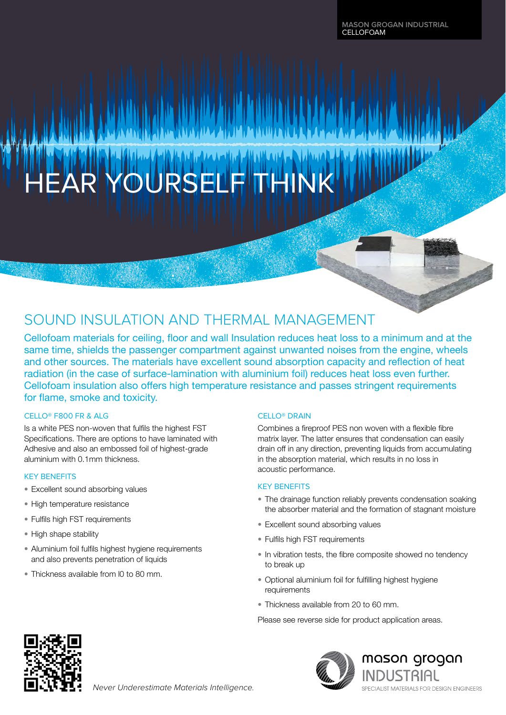# **NER SEL**

# SOUND INSULATION AND THERMAL MANAGEMENT

Cellofoam materials for ceiling, floor and wall Insulation reduces heat loss to a minimum and at the same time, shields the passenger compartment against unwanted noises from the engine, wheels and other sources. The materials have excellent sound absorption capacity and reflection of heat radiation (in the case of surface-lamination with aluminium foil) reduces heat loss even further. Cellofoam insulation also offers high temperature resistance and passes stringent requirements for flame, smoke and toxicity.

## CELLO® F800 FR & ALG

Is a white PES non-woven that fulfils the highest FST Specifications. There are options to have laminated with Adhesive and also an embossed foil of highest-grade aluminium with 0.1mm thickness.

## KEY BENEFITS

- Excellent sound absorbing values
- High temperature resistance
- Fulfils high FST requirements
- High shape stability
- Aluminium foil fulfils highest hygiene requirements and also prevents penetration of liquids

Never Underestimate Materials Intelligence.

• Thickness available from l0 to 80 mm.

## CELLO® DRAIN

Combines a fireproof PES non woven with a flexible fibre matrix layer. The latter ensures that condensation can easily drain off in any direction, preventing liquids from accumulating in the absorption material, which results in no loss in acoustic performance.

#### KEY BENEFITS

- The drainage function reliably prevents condensation soaking the absorber material and the formation of stagnant moisture
- Excellent sound absorbing values
- Fulfils high FST requirements
- In vibration tests, the fibre composite showed no tendency to break up
- Optional aluminium foil for fulfilling highest hygiene requirements
- Thickness available from 20 to 60 mm.

Please see reverse side for product application areas.